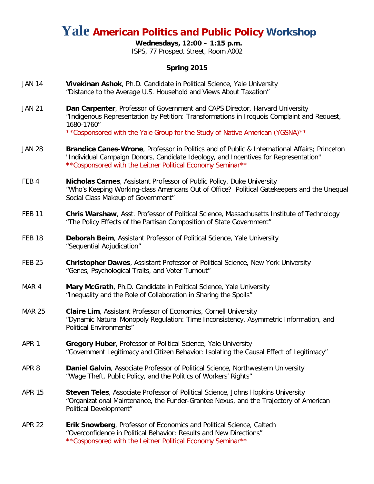## **Yale American Politics and Public Policy Workshop**

**Wednesdays, 12:00 – 1:15 p.m.**

ISPS, 77 Prospect Street, Room A002

## **Spring 2015**

- JAN 14 **Vivekinan Ashok**, Ph.D. Candidate in Political Science, Yale University "Distance to the Average U.S. Household and Views About Taxation"
- JAN 21 **Dan Carpenter**, Professor of Government and CAPS Director, Harvard University "Indigenous Representation by Petition: Transformations in Iroquois Complaint and Request, 1680-1760"

\*\*Cosponsored with the Yale Group for the Study of Native American (YGSNA)\*\*

- JAN 28 **Brandice Canes-Wrone**, Professor in Politics and of Public & International Affairs; Princeton "Individual Campaign Donors, Candidate Ideology, and Incentives for Representation" \*\*Cosponsored with the Leitner Political Economy Seminar\*\*
- FEB 4 **Nicholas Carnes**, Assistant Professor of Public Policy, Duke University "Who's Keeping Working-class Americans Out of Office? Political Gatekeepers and the Unequal Social Class Makeup of Government"
- FEB 11 **Chris Warshaw**, Asst. Professor of Political Science, Massachusetts Institute of Technology "The Policy Effects of the Partisan Composition of State Government"
- FEB 18 **Deborah Beim**, Assistant Professor of Political Science, Yale University "Sequential Adjudication"
- FEB 25 **Christopher Dawes**, Assistant Professor of Political Science, New York University "Genes, Psychological Traits, and Voter Turnout"
- MAR 4 **Mary McGrath**, Ph.D. Candidate in Political Science, Yale University "Inequality and the Role of Collaboration in Sharing the Spoils"
- MAR 25 **Claire Lim**, Assistant Professor of Economics, Cornell University "Dynamic Natural Monopoly Regulation: Time Inconsistency, Asymmetric Information, and Political Environments"
- APR 1 **Gregory Huber**, Professor of Political Science, Yale University "Government Legitimacy and Citizen Behavior: Isolating the Causal Effect of Legitimacy"
- APR 8 **Daniel Galvin**, Associate Professor of Political Science, Northwestern University "Wage Theft, Public Policy, and the Politics of Workers' Rights"
- APR 15 **Steven Teles**, Associate Professor of Political Science, Johns Hopkins University "Organizational Maintenance, the Funder-Grantee Nexus, and the Trajectory of American Political Development"
- APR 22 **Erik Snowberg**, Professor of Economics and Political Science, Caltech "Overconfidence in Political Behavior: Results and New Directions" \*\*Cosponsored with the Leitner Political Economy Seminar\*\*